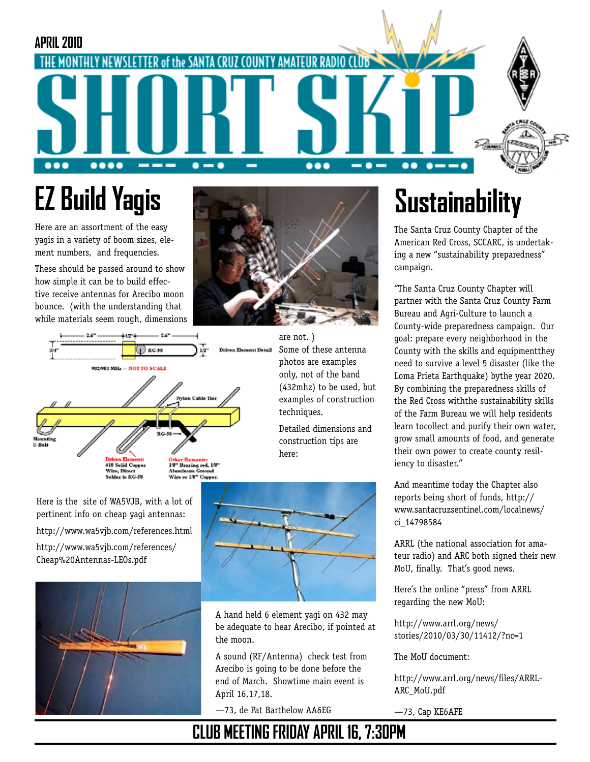### **APRIL 2010** TER of the SANTA CRUZ COUNTY AMATEUR HE MONTHI  $\bullet\bullet\bullet\bullet$ --- $\bullet\bullet\bullet$  $\bullet$   $\bullet\bullet$  $\bullet$   $\bullet$

# **EZ Build Yagis**

Here are an assortment of the easy yagis in a variety of boom sizes, element numbers, and frequencies.

These should be passed around to show how simple it can be to build effective receive antennas for Arecibo moon bounce. (with the understanding that while materials seem rough, dimensions





are not. ) Driven Element Detail Some of these antenna photos are examples only, not of the band (432mhz) to be used, but examples of construction techniques.

Detailed dimensions and construction tips are here:



A hand held 6 element yagi on 432 may be adequate to hear Arecibo, if pointed at the moon.

A sound (RF/Antenna) check test from Arecibo is going to be done before the end of March. Showtime main event is April 16,17,18.

—73, de Pat Barthelow AA6EG

# **Sustainability**

The Santa Cruz County Chapter of the American Red Cross, SCCARC, is undertaking a new "sustainability preparedness" campaign.

"The Santa Cruz County Chapter will partner with the Santa Cruz County Farm Bureau and Agri-Culture to launch a County-wide preparedness campaign. Our goal: prepare every neighborhood in the County with the skills and equipmentthey need to survive a level 5 disaster (like the Loma Prieta Earthquake) bythe year 2020. By combining the preparedness skills of the Red Cross withthe sustainability skills of the Farm Bureau we will help residents learn tocollect and purify their own water, grow small amounts of food, and generate their own power to create county resiliency to disaster."

And meantime today the Chapter also reports being short of funds, http:// www.santacruzsentinel.com/localnews/ ci\_14798584

ARRL (the national association for amateur radio) and ARC both signed their new MoU, finally. That's good news.

Here's the online "press" from ARRL regarding the new MoU:

http://www.arrl.org/news/ stories/2010/03/30/11412/?nc=1

The MoU document:

http://www.arrl.org/news/files/ARRL-ARC\_MoU.pdf

—73, Cap KE6AFE

Here is the site of WA5VJB, with a lot of pertinent info on cheap yagi antennas: http://www.wa5vjb.com/references.html http://www.wa5vjb.com/references/ Cheap%20Antennas-LEOs.pdf



**CLUB MEETING FRIDAY APRIL 16, 7:30PM**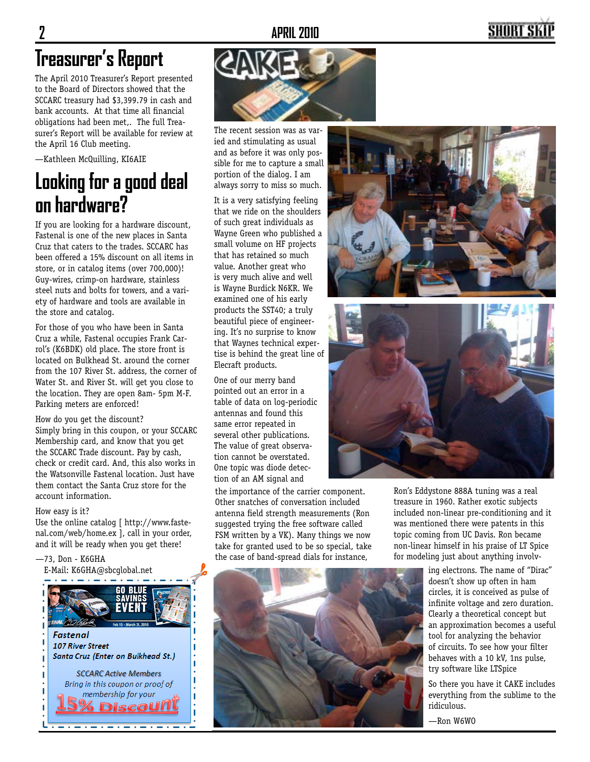### SHORT S

## **Treasurer's Report**

The April 2010 Treasurer's Report presented to the Board of Directors showed that the SCCARC treasury had \$3,399.79 in cash and bank accounts. At that time all financial obligations had been met,. The full Treasurer's Report will be available for review at the April 16 Club meeting.

—Kathleen McQuilling, KI6AIE

## **Looking for a good deal on hardware?**

If you are looking for a hardware discount, Fastenal is one of the new places in Santa Cruz that caters to the trades. SCCARC has been offered a 15% discount on all items in store, or in catalog items (over 700,000)! Guy-wires, crimp-on hardware, stainless steel nuts and bolts for towers, and a variety of hardware and tools are available in the store and catalog.

For those of you who have been in Santa Cruz a while, Fastenal occupies Frank Carrol's (K6BDK) old place. The store front is located on Bulkhead St. around the corner from the 107 River St. address, the corner of Water St. and River St. will get you close to the location. They are open 8am- 5pm M-F. Parking meters are enforced!

How do you get the discount? Simply bring in this coupon, or your SCCARC Membership card, and know that you get the SCCARC Trade discount. Pay by cash, check or credit card. And, this also works in the Watsonville Fastenal location. Just have them contact the Santa Cruz store for the account information.

#### How easy is it?

Use the online catalog [ http://www.fastenal.com/web/home.ex ], call in your order, and it will be ready when you get there!

—73, Don - K6GHA







The recent session was as varied and stimulating as usual and as before it was only possible for me to capture a small portion of the dialog. I am always sorry to miss so much.

It is a very satisfying feeling that we ride on the shoulders of such great individuals as Wayne Green who published a small volume on HF projects that has retained so much value. Another great who is very much alive and well is Wayne Burdick N6KR. We examined one of his early products the SST40; a truly beautiful piece of engineering. It's no surprise to know that Waynes technical expertise is behind the great line of Elecraft products.

One of our merry band pointed out an error in a table of data on log-periodic antennas and found this same error repeated in several other publications. The value of great observation cannot be overstated. One topic was diode detection of an AM signal and

the importance of the carrier component. Other snatches of conversation included antenna field strength measurements (Ron suggested trying the free software called FSM written by a VK). Many things we now take for granted used to be so special, take the case of band-spread dials for instance,





Ron's Eddystone 888A tuning was a real treasure in 1960. Rather exotic subjects included non-linear pre-conditioning and it was mentioned there were patents in this topic coming from UC Davis. Ron became non-linear himself in his praise of LT Spice for modeling just about anything involv-

> ing electrons. The name of "Dirac" doesn't show up often in ham circles, it is conceived as pulse of infinite voltage and zero duration. Clearly a theoretical concept but an approximation becomes a useful tool for analyzing the behavior of circuits. To see how your filter behaves with a 10 kV, 1ns pulse, try software like LTSpice

> So there you have it CAKE includes everything from the sublime to the ridiculous.

—Ron W6WO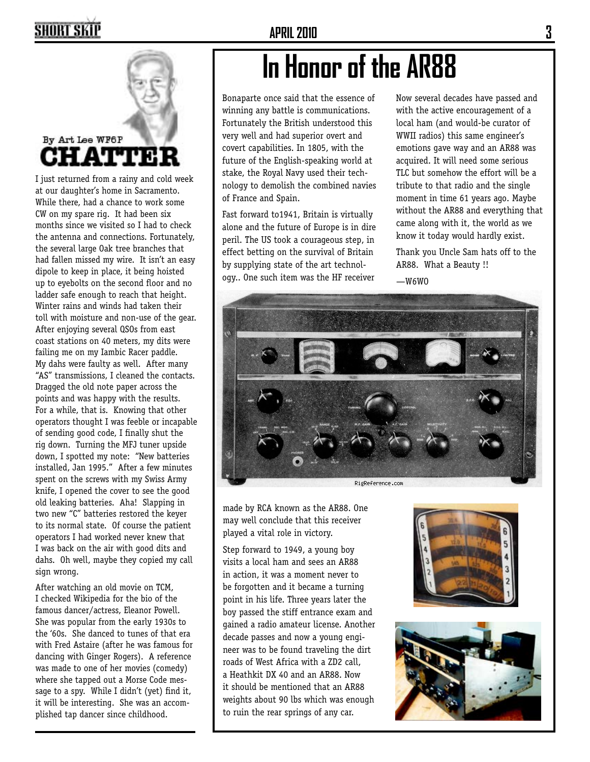## **SHORT SKIP**

### **APRIL 2010 3**



By Art Lee WF6P **CHATTE** 

I just returned from a rainy and cold week at our daughter's home in Sacramento. While there, had a chance to work some CW on my spare rig. It had been six months since we visited so I had to check the antenna and connections. Fortunately, the several large Oak tree branches that had fallen missed my wire. It isn't an easy dipole to keep in place, it being hoisted up to eyebolts on the second floor and no ladder safe enough to reach that height. Winter rains and winds had taken their toll with moisture and non-use of the gear. After enjoying several QSOs from east coast stations on 40 meters, my dits were failing me on my Iambic Racer paddle. My dahs were faulty as well. After many "AS" transmissions, I cleaned the contacts. Dragged the old note paper across the points and was happy with the results. For a while, that is. Knowing that other operators thought I was feeble or incapable of sending good code, I finally shut the rig down. Turning the MFJ tuner upside down, I spotted my note: "New batteries installed, Jan 1995." After a few minutes spent on the screws with my Swiss Army knife, I opened the cover to see the good old leaking batteries. Aha! Slapping in two new "C" batteries restored the keyer to its normal state. Of course the patient operators I had worked never knew that I was back on the air with good dits and dahs. Oh well, maybe they copied my call sign wrong.

After watching an old movie on TCM, I checked Wikipedia for the bio of the famous dancer/actress, Eleanor Powell. She was popular from the early 1930s to the '60s. She danced to tunes of that era with Fred Astaire (after he was famous for dancing with Ginger Rogers). A reference was made to one of her movies (comedy) where she tapped out a Morse Code message to a spy. While I didn't (yet) find it, it will be interesting. She was an accomplished tap dancer since childhood.

## **In Honor of the AR88**

Bonaparte once said that the essence of winning any battle is communications. Fortunately the British understood this very well and had superior overt and covert capabilities. In 1805, with the future of the English-speaking world at stake, the Royal Navy used their technology to demolish the combined navies of France and Spain.

Fast forward to1941, Britain is virtually alone and the future of Europe is in dire peril. The US took a courageous step, in effect betting on the survival of Britain by supplying state of the art technology.. One such item was the HF receiver

Now several decades have passed and with the active encouragement of a local ham (and would-be curator of WWII radios) this same engineer's emotions gave way and an AR88 was acquired. It will need some serious TLC but somehow the effort will be a tribute to that radio and the single moment in time 61 years ago. Maybe without the AR88 and everything that came along with it, the world as we know it today would hardly exist.

Thank you Uncle Sam hats off to the AR88. What a Beauty !!

 $-W6WO$ 



made by RCA known as the AR88. One may well conclude that this receiver played a vital role in victory.

Step forward to 1949, a young boy visits a local ham and sees an AR88 in action, it was a moment never to be forgotten and it became a turning point in his life. Three years later the boy passed the stiff entrance exam and gained a radio amateur license. Another decade passes and now a young engineer was to be found traveling the dirt roads of West Africa with a ZD2 call, a Heathkit DX 40 and an AR88. Now it should be mentioned that an AR88 weights about 90 lbs which was enough to ruin the rear springs of any car.